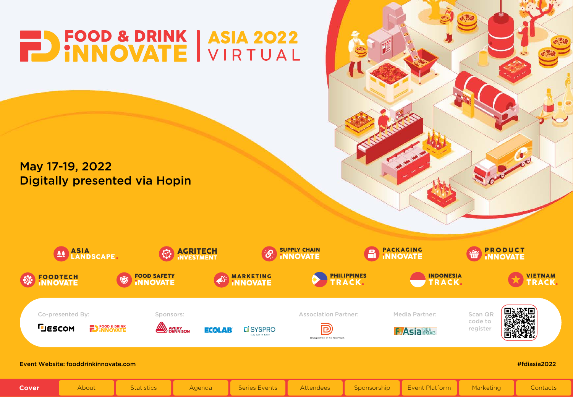<span id="page-0-0"></span>

## May 17-19, 2022 Digitally presented via Hopin

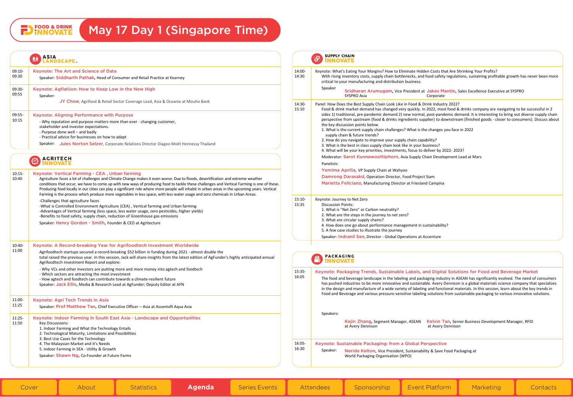## <span id="page-1-0"></span>**PD** FOOD & DRINK May 17 Day 1 (Singapore Time)

## ASIA ASIA

|                                    | <b>ASIA</b><br>奉奉<br><b>INDSCAPE.</b>                                                                                                                                                                                                                                                                                                                                                                                                                                                                                                                                                                              |                   | <b>SUPPLY CHAIN</b><br>$\mathcal{S}$<br><b>INNOVATE</b>                                                                                                                                                                                                                                                                                                                                                                                                                                                                                                                                                                                                               |
|------------------------------------|--------------------------------------------------------------------------------------------------------------------------------------------------------------------------------------------------------------------------------------------------------------------------------------------------------------------------------------------------------------------------------------------------------------------------------------------------------------------------------------------------------------------------------------------------------------------------------------------------------------------|-------------------|-----------------------------------------------------------------------------------------------------------------------------------------------------------------------------------------------------------------------------------------------------------------------------------------------------------------------------------------------------------------------------------------------------------------------------------------------------------------------------------------------------------------------------------------------------------------------------------------------------------------------------------------------------------------------|
| 09:10-<br>09:30<br>09:30-<br>09:55 | Keynote: The Art and Science of Data<br>Speaker: Siddharth Pathak, Head of Consumer and Retail Practice at Kearney<br>Keynote: Agflatiion: How to Keep Low in the New High<br>Speaker:                                                                                                                                                                                                                                                                                                                                                                                                                             | 14:00-<br>14:30   | Keynote: What's Eating Your Margins? How to Eliminate Hidden Costs that Are Shrinking Your Profits?<br>With rising inventory costs, supply chain bottlenecks, and food safety regulations, sustaining profitable growth has never been more<br>critical to your manufacturing and distribution business.<br>Speaker<br>Sridharan Arumugam, Vice President at Jakes Mantle, Sales Excellence Executive at SYSPRO<br>SYSPRO Asia<br>Corporate                                                                                                                                                                                                                           |
|                                    | JY Chow, Agrifood & Retail Sector Coverage Lead, Asia & Oceania at Mizuho Bank                                                                                                                                                                                                                                                                                                                                                                                                                                                                                                                                     | 14:30-<br>15:10   | Panel: How Does the Best Supply Chain Look Like in Food & Drink Industry 2022?<br>Food & drink market demand has changed very quickly. In 2022, most food & drinks company are navigating to be successful in 2                                                                                                                                                                                                                                                                                                                                                                                                                                                       |
| 09:55-<br>10:15                    | Keynote: Aligning Performance with Purpose<br>- Why reputation and purpose matters more than ever - changing customer,<br>stakeholder and investor expectations.<br>- Purpose done well - and badly<br>- Practical advice for businesses on how to adapt<br>Speaker: Jules Norton Selzer, Corporate Relations Director Diageo Moët Hennessy Thailand                                                                                                                                                                                                                                                               |                   | sides 1) traditional, pre-pandemic demand 2) new normal, post-pandemic demand. It is interesting to bring out diverse supply chain<br>perspective from upstream (food & drinks ingredients supplier) to downstream (finished goods - closer to consumers). Discuss about<br>the key discussion points below.<br>1. What is the current supply chain challenges? What is the changes you face in 2022<br>supply chain & future trends?<br>2. How do you navigate to improve your supply chain capability?<br>3. What is the best in class supply chain look like in your business?<br>4. What will be your key priorities, investments, focus to deliver by 2022-2023? |
|                                    | <b>ACRITECH</b><br>'NNOVATE                                                                                                                                                                                                                                                                                                                                                                                                                                                                                                                                                                                        |                   | Moderator: Sarot Kunnawoottiphorn, Asia Supply Chain Development Lead at Mars<br>Panelists:                                                                                                                                                                                                                                                                                                                                                                                                                                                                                                                                                                           |
| $10:15-$<br>10:40                  | Keynote: Vertical Farming - CEA, Urban farming<br>Agriculture faces a lot of challenges and Climate Change makes it even worse. Due to floods, desertification and extreme weather<br>conditions that occur, we have to come up with new ways of producing food to tackle these challenges and Vertical Farming is one of these.<br>Producing food locally in our cities can play a significant role where more people will inhabit in urban areas in the upcoming years. Vertical<br>Farming is the process which produce more vegetables in less space, with less water usage and zero chemicals in Urban Areas. |                   | Yemima Aprilia, VP Supply Chain at Wahyoo<br>Damrong Darasakd, Operation Director, Food Project Siam<br>Marietta Feliciano, Manufacturing Director at Friesland Campina                                                                                                                                                                                                                                                                                                                                                                                                                                                                                               |
|                                    | -Challenges that agriculture faces<br>-What is Controlled Environment Agriculture (CEA), Vertical farming and Urban farming<br>-Advantages of Vertical farming (less space, less water usage, zero pesticides, higher yields)<br>-Benefits to food safety, supply chain, reduction of Greenhouse gas emissions<br>Speaker: Henry Gordon - Smith, Founder & CEO at Agritecture                                                                                                                                                                                                                                      | $15:10-$<br>15:35 | Keynote: Journey to Net Zero<br><b>Discussion Points:</b><br>1. What is "Net Zero" or Carbon neutrality?<br>2. What are the steps in the journey to net zero?<br>3. What are circular supply chains?<br>4. How does one go about performance management in sustainability?<br>5. A few case studies to illustrate the journey                                                                                                                                                                                                                                                                                                                                         |
| 10:40-                             | Keynote: A Record-breaking Year for Agrifoodtech Investment Worldwide                                                                                                                                                                                                                                                                                                                                                                                                                                                                                                                                              |                   | Speaker: Indranil Sen, Director - Global Operations at Accenture                                                                                                                                                                                                                                                                                                                                                                                                                                                                                                                                                                                                      |
| 11:00                              | Agrifoodtech startups secured a record-breaking \$52 billion in funding during 2021 - almost double the<br>total raised the previous year. In this session, Jack will share insights from the latest edition of AgFunder's highly anticipated annual<br>Agrifoodtech Investment Report and explore:                                                                                                                                                                                                                                                                                                                |                   | <b>PACKAGING</b><br><b>INNOVATE</b>                                                                                                                                                                                                                                                                                                                                                                                                                                                                                                                                                                                                                                   |
|                                    | - Why VCs and other investors are putting more and more money into agtech and foodtech<br>- Which sectors are attracting the most investment<br>- How agtech and foodtech can contribute towards a climate-resilient future<br>Speaker: Jack Ellis, Media & Research Lead at AgFunder; Deputy Editor at AFN                                                                                                                                                                                                                                                                                                        | 15:35-<br>16:05   | Keynote: Packaging Trends, Sustainable Labels, and Digital Solutions for Food and Beverage Market<br>The food and beverage landscape in the labeling and packaging industry in ASEAN has significantly evolved. The need of consumers<br>has pushed industries to be more innovative and sustainable. Avery Dennison is a global materials science company that specializes<br>in the design and manufacture of a wide variety of labeling and functional materials. In this session, learn about the key trends in<br>Food and Beverage and various pressure-sensitive labeling solutions from sustainable packaging to various innovative solutions.                |
| 11:00-<br>11:25                    | Keynote: Agri Tech Trends in Asia<br>Speaker: Prof Matthew Tan, Chief Executive Officer - Asia at Assentoft Aqua Asia                                                                                                                                                                                                                                                                                                                                                                                                                                                                                              |                   |                                                                                                                                                                                                                                                                                                                                                                                                                                                                                                                                                                                                                                                                       |
| $11:25-$<br>11:50                  | Keynote: Indoor Farming in South East Asia - Landscape and Opportunities<br><b>Key Discussions:</b><br>1. Indoor Farming and What the Technology Entails<br>2. Technological Maturity, Limitations and Possibilities                                                                                                                                                                                                                                                                                                                                                                                               |                   | Speakers:<br>Kejin Zhang, Segment Manager, ASEAN Kelvin Tan, Senior Business Development Manager, RFID<br>at Avery Dennison<br>at Avery Dennison                                                                                                                                                                                                                                                                                                                                                                                                                                                                                                                      |
|                                    | 3. Best Use Cases for the Technology<br>4. The Malaysian Market and It's Needs<br>5. Indoor Farming in SEA - Utility & Growth<br>Speaker: Shawn Ng, Co-Founder at Future Farms                                                                                                                                                                                                                                                                                                                                                                                                                                     | 16:05-<br>16:30   | Keynote: Sustainable Packaging: from a Global Perspective<br>Speaker:<br>Nerida Kelton, Vice President, Sustainability & Save Food Packaging at<br>World Packaging Organisation (WPO)                                                                                                                                                                                                                                                                                                                                                                                                                                                                                 |
|                                    |                                                                                                                                                                                                                                                                                                                                                                                                                                                                                                                                                                                                                    |                   |                                                                                                                                                                                                                                                                                                                                                                                                                                                                                                                                                                                                                                                                       |

| <b>Cover Cover</b> |  |  | About <b>I</b> Statistics <b>Agenda</b> Series Events Attendees Sponsorship Event Platform Marketing Contacts |  |  |  |  |  |  |
|--------------------|--|--|---------------------------------------------------------------------------------------------------------------|--|--|--|--|--|--|
|--------------------|--|--|---------------------------------------------------------------------------------------------------------------|--|--|--|--|--|--|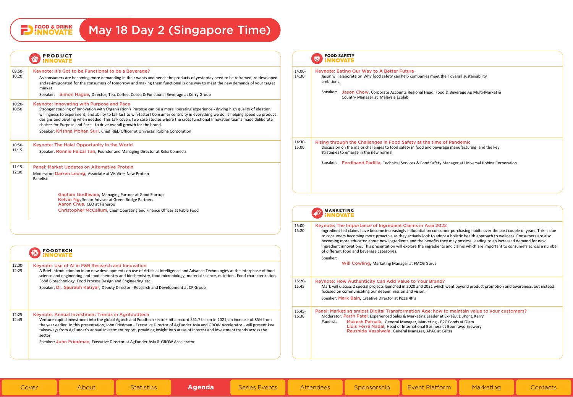## <span id="page-2-0"></span>**PD** FOOD & DRINK

## May 18 Day 2 (Singapore Time)

#### **PRODUCT** Ŵ **INNOVATE**

| $09:50-$<br>10:20 | Keynote: It's Got to be Functional to be a Beyerage?<br>As consumers are becoming more demanding in their wants and needs the products of yesterday need to be reframed, re-developed<br>and re-invigorated for the consumers of tomorrow and making them functional is one way to meet the new demands of your target<br>market.<br>Speaker: Simon Hague, Director, Tea, Coffee, Cocoa & Functional Beverage at Kerry Group                                                                                                                                                                                              |
|-------------------|---------------------------------------------------------------------------------------------------------------------------------------------------------------------------------------------------------------------------------------------------------------------------------------------------------------------------------------------------------------------------------------------------------------------------------------------------------------------------------------------------------------------------------------------------------------------------------------------------------------------------|
| $10:20-$<br>10:50 | Keynote: Innovating with Purpose and Pace<br>Stronger coupling of Innovation with Organisation's Purpose can be a more liberating experience - driving high quality of ideation,<br>willingness to experiment, and ability to fail-fast to win-faster! Consumer centricity in everything we do, is helping speed up product<br>designs and pivoting when needed. This talk covers two case studies where the cross functional Innovation teams made deliberate<br>choices for Purpose and Pace - to drive overall growth for the brand.<br>Speaker: Krishna Mohan Suri, Chief R&D Officer at Universal Robina Corporation |
| $10:50-$<br>11:15 | Keynote: The Halal Opportunity in the World<br>Speaker: Ronnie Faizal Tan, Founder and Managing Director at Rekz Connects                                                                                                                                                                                                                                                                                                                                                                                                                                                                                                 |
| $11:15-$<br>12:00 | <b>Panel: Market Updates on Alternative Protein</b><br>Moderator: Darren Leong, Associate at Vis Vires New Protein<br>Panelist:<br>Gautam Godhwani, Managing Partner at Good Startup<br>Kelvin Ng, Senior Adviser at Green Bridge Partners<br>Aaron Chua, CEO at Fisheroo<br>Christopher McCallum, Chief Operating and Finance Officer at Fable Food                                                                                                                                                                                                                                                                      |
|                   |                                                                                                                                                                                                                                                                                                                                                                                                                                                                                                                                                                                                                           |

#### **FOODTECH**  $\bullet$ ¦NNOVATE

#### 12:00- Keynote: Use of AI in F&B Research and Innovation

12:25 A Brief introduction on in on new developments on use of Artificial Intelligence and Advance Technologies at the interphase of food science and engineering and food chemistry and biochemistry, food microbiology, material science, nutrition , Food characterization, Food Biotechnology, Food Process Design and Engineering etc.

Speaker: Dr. Saurabh Katiyar, Deputy Director - Research and Development at CP Group

#### 12:25- Keynote: Annual Investment Trends in Agrifoodtech

 $12.45$ Venture capital investment into the global Agtech and Foodtech sectors hit a record \$51.7 billion in 2021, an increase of 85% from the year earlier. In this presentation, John Friedman - Executive Director of AgFunder Asia and GROW Accelerator - will present key takeaways from AgFunder's annual investment report, providing insight into areas of interest and investment trends across the sector.

Speaker: John Friedman, Executive Director at AgFunder Asia & GROW Accelerator

## **FOOD SAFETY** Q **INNOVATE** 14:00- Keynote: Eating Our Way to A Better Future 14:30 Jason will elaborate on Why food safety can help companies meet their overall sustainability ambitions. Speaker: Jason Chow, Corporate Accounts Regional Head, Food & Beverage Ap Multi-Market & Country Manager at Malaysia Ecolab 14:30- Rising through the Challenges in Food Safety at the time of Pandemic 15:00 Discussion on the major challenges to food safety in food and beverage manufacturing, and the key strategies to emerge in the new normal. Speaker: Ferdinand Padilla, Technical Services & Food Safety Manager at Universal Robina Corporation



#### 15:00- Keynote: The Importance of Ingredient Claims in Asia 2022

Ingredient-led claims have become increasingly influential on consumer purchasing habits over the past couple of years. This is due to consumers becoming more proactive as they actively look to adopt a holistic health approach to wellness. Consumers are also becoming more educated about new ingredients and the benefits they may possess, leading to an increased demand for new ingredient innovations. This presentation will explore the ingredients and claims which are important to consumers across a number of different food and beverage categories.

Speaker:

15:20

Will Cowling, Marketing Manager at FMCG Gurus

#### 15:20- 15:45 Keynote: How Authenticity Can Add Value to Your Brand? Mark will discuss 2 special projects launched in 2020 and 2021 which went beyond product promotion and awareness, but instead focused on communicating our deeper mission and vision.

Speaker: Mark Bain, Creative Director at Pizza 4P's

#### 15:45- 16:30 Panel: Marketing amidst Digital Transformation Age: how to maintain value to your customers? Moderator: Parth Patel, Experienced Sales & Marketing Leader at Ex- J&J, DuPont, Kerry Panelist: Mukesh Patnaik, General Manager, Marketing - B2C Foods at Olam

## Lluis Ferre Nadal, Head of International Business at Boonrawd Brewery Raushida Vasaiwala, General Manager, APAC at Celtra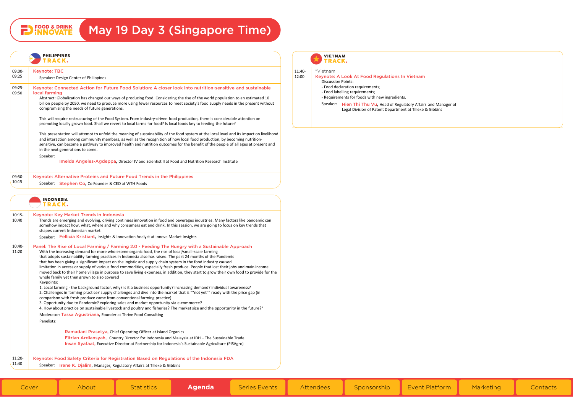# **PD** FOOD & DRINK

# May 19 Day 3 (Singapore Time)

| 09:00-<br>09:25   | <b>Keynote: TBC</b>                                                                                                                                                                                                                                                                                                                                                                                                                                                                                                                                                                                                                                                                                                                                                  |
|-------------------|----------------------------------------------------------------------------------------------------------------------------------------------------------------------------------------------------------------------------------------------------------------------------------------------------------------------------------------------------------------------------------------------------------------------------------------------------------------------------------------------------------------------------------------------------------------------------------------------------------------------------------------------------------------------------------------------------------------------------------------------------------------------|
|                   | Speaker: Design Center of Philippines                                                                                                                                                                                                                                                                                                                                                                                                                                                                                                                                                                                                                                                                                                                                |
| 09:25-<br>09:50   | Keynote: Connected Action for Future Food Solution: A closer look into nutrition-sensitive and sustainable<br>local farming                                                                                                                                                                                                                                                                                                                                                                                                                                                                                                                                                                                                                                          |
|                   | Abstract: Globalization has changed our ways of producing food. Considering the rise of the world population to an estimated 10<br>billion people by 2050, we need to produce more using fewer resources to meet society's food supply needs in the present without<br>compromising the needs of future generations.                                                                                                                                                                                                                                                                                                                                                                                                                                                 |
|                   | This will require restructuring of the Food System. From industry-driven food production, there is considerable attention on<br>promoting locally grown food. Shall we revert to local farms for food? Is local foods key to feeding the future?                                                                                                                                                                                                                                                                                                                                                                                                                                                                                                                     |
|                   | This presentation will attempt to unfold the meaning of sustainability of the food system at the local level and its impact on livelihood<br>and interaction among community members, as well as the recognition of how local food production, by becoming nutrition-<br>sensitive, can become a pathway to improved health and nutrition outcomes for the benefit of the people of all ages at present and<br>in the next generations to come.                                                                                                                                                                                                                                                                                                                      |
|                   | Speaker:<br>Imelda Angeles-Agdeppa, Director IV and Scientist II at Food and Nutrition Research Institute                                                                                                                                                                                                                                                                                                                                                                                                                                                                                                                                                                                                                                                            |
| 09:50-            | Keynote: Alternative Proteins and Future Food Trends in the Philippines                                                                                                                                                                                                                                                                                                                                                                                                                                                                                                                                                                                                                                                                                              |
| 10:15             | Speaker: Stephen Co, Co Founder & CEO at WTH Foods                                                                                                                                                                                                                                                                                                                                                                                                                                                                                                                                                                                                                                                                                                                   |
|                   | <b>INDONESIA</b><br>TRACK.<br>Keynote: Key Market Trends in Indonesia<br>Trends are emerging and evolving, driving continues innovation in food and beverages industries. Many factors like pandemic can                                                                                                                                                                                                                                                                                                                                                                                                                                                                                                                                                             |
|                   | somehow impact how, what, where and why consumers eat and drink. In this session, we are going to focus on key trends that<br>shapes current Indonesian market.                                                                                                                                                                                                                                                                                                                                                                                                                                                                                                                                                                                                      |
| $10:15-$<br>10:40 | Speaker: Fellicia Kristiant, Insights & Innovation Analyst at Innova Market Insights                                                                                                                                                                                                                                                                                                                                                                                                                                                                                                                                                                                                                                                                                 |
| 10:40-<br>11:20   | Panel: The Rise of Local Farming / Farming 2.0 - Feeding The Hungry with a Sustainable Approach<br>With the increasing demand for more wholesome organic food, the rise of local/small-scale farming<br>that adopts sustainability farming practices in Indonesia also has raised. The past 24 months of the Pandemic<br>that has been giving a significant impact on the logistic and supply chain system in the food industry caused<br>limitation in access or supply of various food commodities, especially fresh produce. People that lost their jobs and main income<br>moved back to their home village in purpose to save living expenses, in addition, they start to grow their own food to provide for the<br>whole family yet then grown to also covered |
|                   | Keypoints:<br>1. Local farming - the background factor, why? is it a business opportunity? increasing demand? individual awareness?<br>2. Challenges in farming practice? supply challenges and dive into the market that is ""not yet"" ready with the price gap (in<br>comparison with fresh produce came from conventional farming practice)<br>3. Opportunity due to Pandemic? exploring sales and market opportunity via e-commerce?                                                                                                                                                                                                                                                                                                                            |
|                   | 4. How about practice on sustainable livestock and poultry and fisheries? The market size and the opportunity in the future?"<br>Moderator: Tassa Agustriana, Founder at Thrive Food Consulting                                                                                                                                                                                                                                                                                                                                                                                                                                                                                                                                                                      |
|                   | Panelists:                                                                                                                                                                                                                                                                                                                                                                                                                                                                                                                                                                                                                                                                                                                                                           |
|                   | Ramadani Prasetya, Chief Operating Officer at Island Organics                                                                                                                                                                                                                                                                                                                                                                                                                                                                                                                                                                                                                                                                                                        |
|                   | Fitrian Ardiansyah, Country Director for Indonesia and Malaysia at IDH - The Sustainable Trade<br>Insan Syafaat, Executive Director at Partnership for Indonesia's Sustainable Agriculture (PISAgro)                                                                                                                                                                                                                                                                                                                                                                                                                                                                                                                                                                 |

### **VIETNAM TRACK.**

#### 11:40- \*Vietnam

- 12:00 Keynote: A Look At Food Regulations In Vietnam
	- Discussion Points:
	- Food declaration requirements; - Food labelling requirements;
	- Requirements for foods with new ingredients.
	-

Speaker: Hien Thi Thu Vu, Head of Regulatory Affairs and Manager of Legal Division of Patent Department at Tilleke & Gibbins